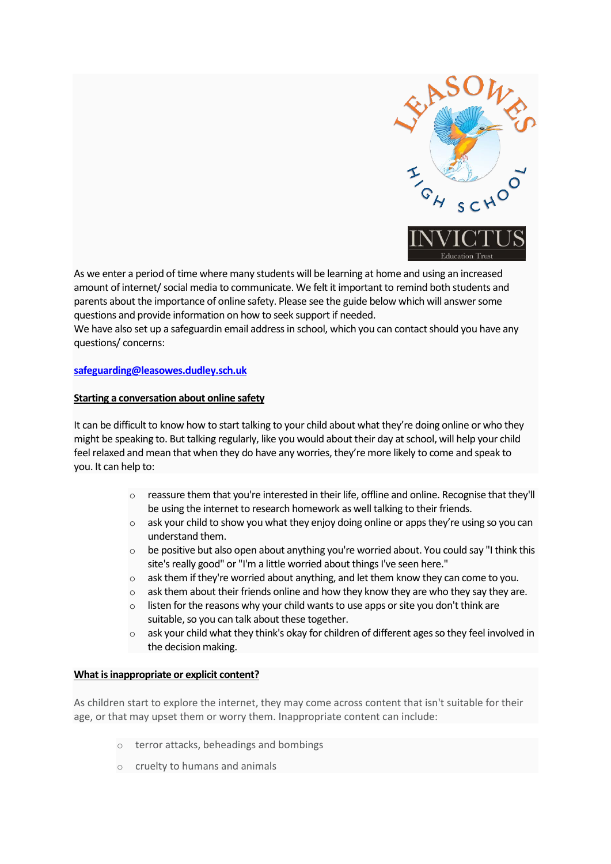

As we enter a period of time where many students will be learning at home and using an increased amount of internet/ social media to communicate. We felt it important to remind both students and parents about the importance of online safety. Please see the guide below which will answer some questions and provide information on how to seek support if needed.

We have also set up a safeguardin email address in school, which you can contact should you have any questions/ concerns:

## **[safeguarding@leasowes.dudley.sch.uk](mailto:safeguarding@leasowes.dudley.sch.uk)**

### **Starting a conversation about online safety**

It can be difficult to know how to start talking to your child about what they're doing online or who they might be speaking to. But talking regularly, like you would about their day at school, will help your child feel relaxed and mean that when they do have any worries, they're more likely to come and speak to you. It can help to:

- $\circ$  reassure them that you're interested in their life, offline and online. Recognise that they'll be using the internet to research homework as well talking to their friends.
- $\circ$  ask your child to show you what they enjoy doing online or apps they're using so you can understand them.
- o be positive but also open about anything you're worried about. You could say "I think this site's really good" or "I'm a little worried about things I've seen here."
- $\circ$  ask them if they're worried about anything, and let them know they can come to you.
- $\circ$  ask them about their friends online and how they know they are who they say they are.
- $\circ$  listen for the reasons why your child wants to use apps or site you don't think are suitable, so you can talk about these together.
- $\circ$  ask your child what they think's okay for children of different ages so they feel involved in the decision making.

#### **What is inappropriate or explicit content?**

As children start to explore the internet, they may come across content that isn't suitable for their age, or that may upset them or worry them. Inappropriate content can include:

- o terror attacks, beheadings and bombings
- o cruelty to humans and animals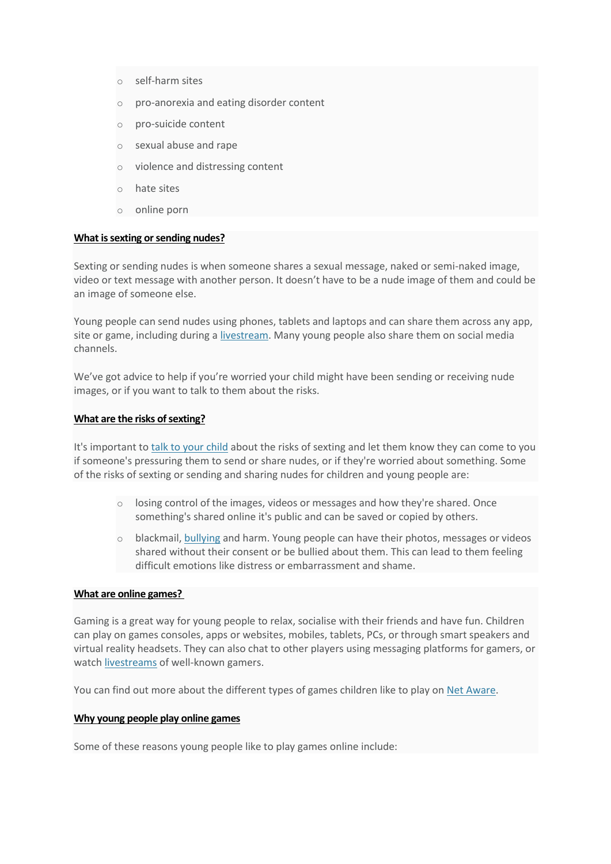- o self-harm sites
- o pro-anorexia and eating disorder content
- o pro-suicide content
- o sexual abuse and rape
- o violence and distressing content
- $\circ$  hate sites
- o online porn

### **What is sexting or sending nudes?**

Sexting or sending nudes is when someone shares a sexual message, naked or semi-naked image, video or text message with another person. It doesn't have to be a nude image of them and could be an image of someone else.

Young people can send nudes using phones, tablets and laptops and can share them across any app, site or game, including during a [livestream.](https://www.nspcc.org.uk/keeping-children-safe/online-safety/livestreaming-online-video-apps/) Many young people also share them on social media channels.

We've got advice to help if you're worried your child might have been sending or receiving nude images, or if you want to talk to them about the risks.

### **What are the risks of sexting?**

It's important to [talk to your child](https://www.nspcc.org.uk/keeping-children-safe/online-safety/talking-child-online-safety/) about the risks of sexting and let them know they can come to you if someone's pressuring them to send or share nudes, or if they're worried about something. Some of the risks of sexting or sending and sharing nudes for children and young people are:

- $\circ$  losing control of the images, videos or messages and how they're shared. Once something's shared online it's public and can be saved or copied by others.
- $\circ$  blackmail, [bullying](https://www.nspcc.org.uk/what-is-child-abuse/types-of-abuse/bullying-and-cyberbullying/) and harm. Young people can have their photos, messages or videos shared without their consent or be bullied about them. This can lead to them feeling difficult emotions like distress or embarrassment and shame.

# **What are online games?**

Gaming is a great way for young people to relax, socialise with their friends and have fun. Children can play on games consoles, apps or websites, mobiles, tablets, PCs, or through smart speakers and virtual reality headsets. They can also chat to other players using messaging platforms for gamers, or watch [livestreams](https://www.nspcc.org.uk/keeping-children-safe/online-safety/livestreaming-online-video-apps/) of well-known gamers.

You can find out more about the different types of games children like to play on [Net Aware.](https://www.net-aware.org.uk/)

#### **Why young people play online games**

Some of these reasons young people like to play games online include: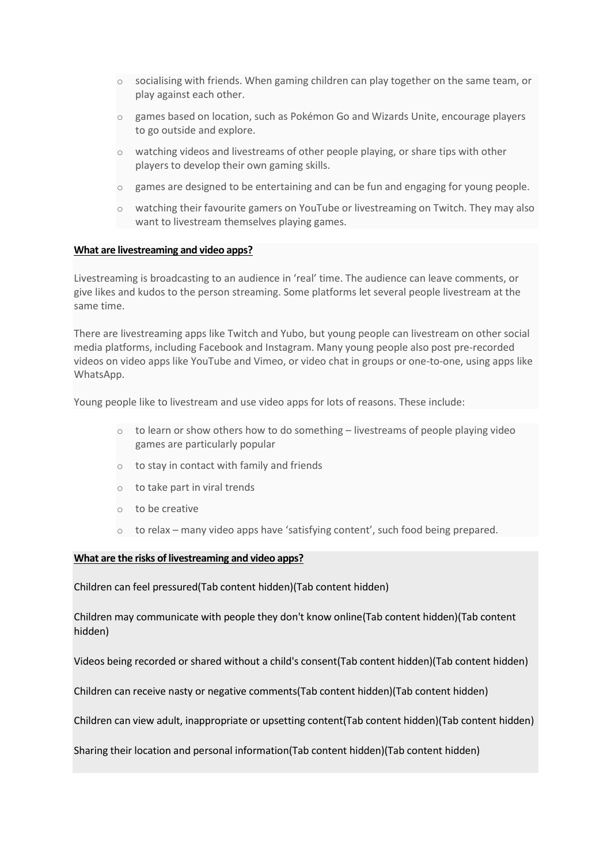- $\circ$  socialising with friends. When gaming children can play together on the same team, or play against each other.
- o games based on location, such as Pokémon Go and Wizards Unite, encourage players to go outside and explore.
- o watching videos and livestreams of other people playing, or share tips with other players to develop their own gaming skills.
- o games are designed to be entertaining and can be fun and engaging for young people.
- o watching their favourite gamers on YouTube or livestreaming on Twitch. They may also want to livestream themselves playing games.

### **What are livestreaming and video apps?**

Livestreaming is broadcasting to an audience in 'real' time. The audience can leave comments, or give likes and kudos to the person streaming. Some platforms let several people livestream at the same time.

There are livestreaming apps like Twitch and Yubo, but young people can livestream on other social media platforms, including Facebook and Instagram. Many young people also post pre-recorded videos on video apps like YouTube and Vimeo, or video chat in groups or one-to-one, using apps like WhatsApp.

Young people like to livestream and use video apps for lots of reasons. These include:

- $\circ$  to learn or show others how to do something livestreams of people playing video games are particularly popular
- o to stay in contact with family and friends
- o to take part in viral trends
- o to be creative
- o to relax many video apps have 'satisfying content', such food being prepared.

### **What are the risks of livestreaming and video apps?**

[Children can feel pressured\(Tab content hidden\)\(Tab content hidden\)](https://www.nspcc.org.uk/keeping-children-safe/online-safety/livestreaming-online-video-apps/)

[Children may communicate with people they don't know online\(Tab content hidden\)\(Tab content](https://www.nspcc.org.uk/keeping-children-safe/online-safety/livestreaming-online-video-apps/)  [hidden\)](https://www.nspcc.org.uk/keeping-children-safe/online-safety/livestreaming-online-video-apps/)

[Videos being recorded or shared without a child's consent\(Tab content hidden\)\(Tab content hidden\)](https://www.nspcc.org.uk/keeping-children-safe/online-safety/livestreaming-online-video-apps/)

Children [can receive nasty or negative comments\(Tab content hidden\)\(Tab content hidden\)](https://www.nspcc.org.uk/keeping-children-safe/online-safety/livestreaming-online-video-apps/)

[Children can view adult, inappropriate or upsetting content\(Tab content hidden\)\(Tab content hidden\)](https://www.nspcc.org.uk/keeping-children-safe/online-safety/livestreaming-online-video-apps/)

[Sharing their location and personal information\(Tab content hidden\)\(Tab content hidden\)](https://www.nspcc.org.uk/keeping-children-safe/online-safety/livestreaming-online-video-apps/)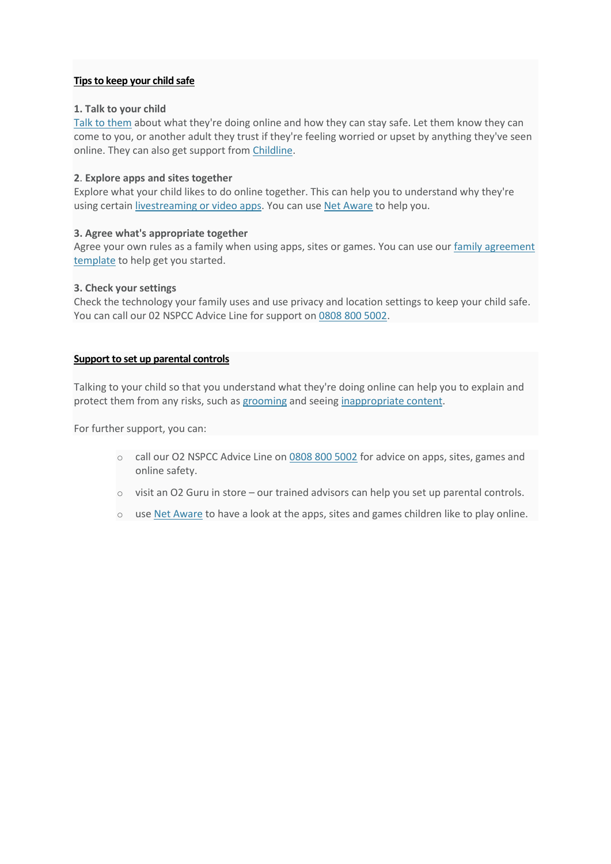# **Tips to keep your child safe**

# **1. Talk to your child**

[Talk to them](https://www.nspcc.org.uk/keeping-children-safe/online-safety/talking-child-online-safety/) about what they're doing online and how they can stay safe. Let them know they can come to you, or another adult they trust if they're feeling worried or upset by anything they've seen online. They can also get support from [Childline.](https://www.childline.org.uk/get-support/)

# **2**. **Explore apps and sites together**

Explore what your child likes to do online together. This can help you to understand why they're using certain [livestreaming or video apps.](https://www.nspcc.org.uk/keeping-children-safe/online-safety/livestreaming-online-video-apps/) You can use [Net Aware](https://www.net-aware.org.uk/) to help you.

# **3. Agree what's appropriate together**

Agree your own rules as a family when using apps, sites or games. You can use our family agreement [template](https://www.nspcc.org.uk/globalassets/documents/online-safety/o2-nspcc-family-agreement-template.pdf) to help get you started.

# **3. Check your settings**

Check the technology your family uses and use privacy and location settings to keep your child safe. You can call our 02 NSPCC Advice Line for support on [0808 800 5002.](tel:0808%20800%205002)

# **Support to set up parental controls**

Talking to your child so that you understand what they're doing online can help you to explain and protect them from any risks, such as [grooming](https://www.nspcc.org.uk/what-is-child-abuse/types-of-abuse/grooming/) and seeing [inappropriate content.](https://www.nspcc.org.uk/keeping-children-safe/online-safety/inappropriate-explicit-content/)

For further support, you can:

- o call our O2 NSPCC Advice Line on [0808 800 5002](tel:%200808%20800%205002) for advice on apps, sites, games and online safety.
- o visit an O2 Guru in store our trained advisors can help you set up parental controls.
- o use [Net Aware](https://www.net-aware.org.uk/) to have a look at the apps, sites and games children like to play online.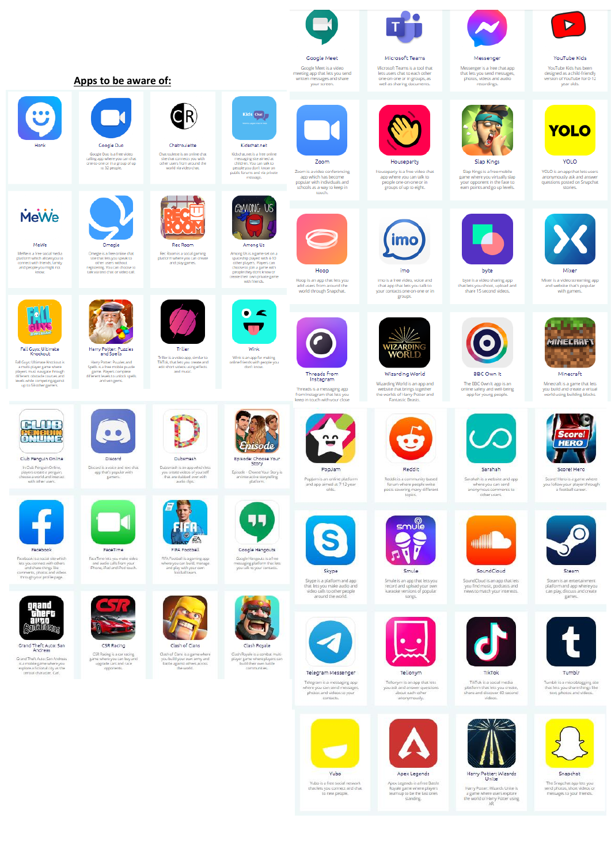